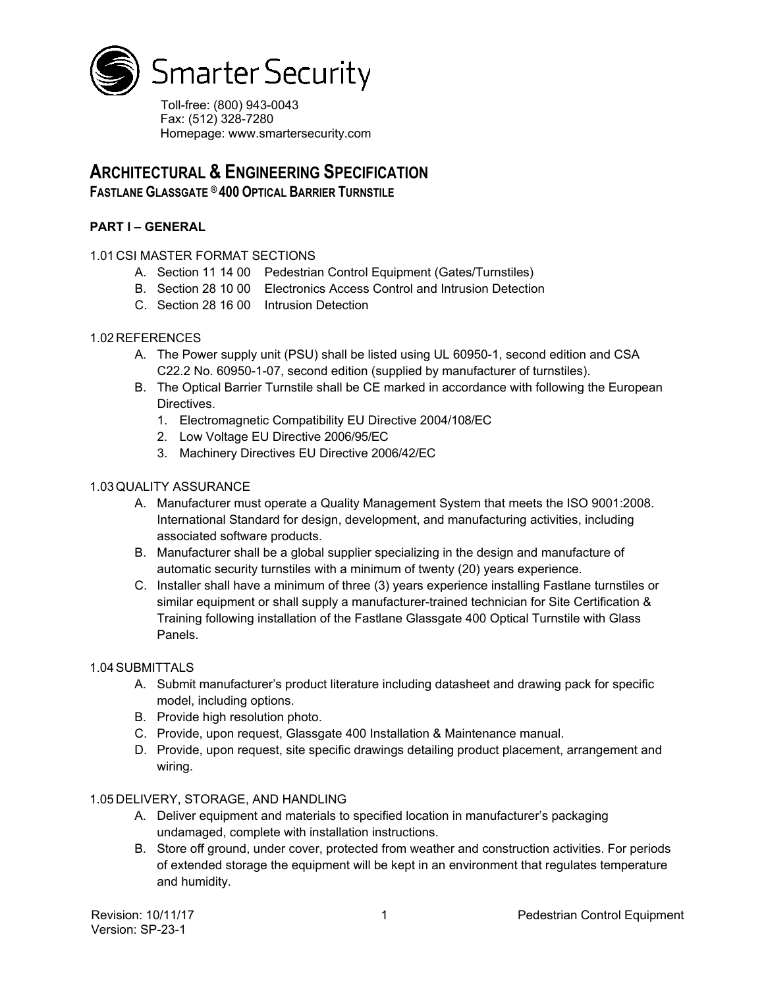

Toll-free: (800) 943-0043 Fax: (512) 328-7280 Homepage: www.smartersecurity.com

# **ARCHITECTURAL & ENGINEERING SPECIFICATION**

# **FASTLANE GLASSGATE ® 400 OPTICAL BARRIER TURNSTILE**

# **PART I – GENERAL**

## 1.01 CSI MASTER FORMAT SECTIONS

- A. Section 11 14 00 Pedestrian Control Equipment (Gates/Turnstiles)
- B. Section 28 10 00 Electronics Access Control and Intrusion Detection
- C. Section 28 16 00 Intrusion Detection

## 1.02 REFERENCES

- A. The Power supply unit (PSU) shall be listed using UL 60950-1, second edition and CSA C22.2 No. 60950-1-07, second edition (supplied by manufacturer of turnstiles).
- B. The Optical Barrier Turnstile shall be CE marked in accordance with following the European Directives.
	- 1. Electromagnetic Compatibility EU Directive 2004/108/EC
	- 2. Low Voltage EU Directive 2006/95/EC
	- 3. Machinery Directives EU Directive 2006/42/EC

## 1.03QUALITY ASSURANCE

- A. Manufacturer must operate a Quality Management System that meets the ISO 9001:2008. International Standard for design, development, and manufacturing activities, including associated software products.
- B. Manufacturer shall be a global supplier specializing in the design and manufacture of automatic security turnstiles with a minimum of twenty (20) years experience.
- C. Installer shall have a minimum of three (3) years experience installing Fastlane turnstiles or similar equipment or shall supply a manufacturer-trained technician for Site Certification & Training following installation of the Fastlane Glassgate 400 Optical Turnstile with Glass Panels.

#### 1.04SUBMITTALS

- A. Submit manufacturer's product literature including datasheet and drawing pack for specific model, including options.
- B. Provide high resolution photo.
- C. Provide, upon request, Glassgate 400 Installation & Maintenance manual.
- D. Provide, upon request, site specific drawings detailing product placement, arrangement and wiring.

#### 1.05 DELIVERY, STORAGE, AND HANDLING

- A. Deliver equipment and materials to specified location in manufacturer's packaging undamaged, complete with installation instructions.
- B. Store off ground, under cover, protected from weather and construction activities. For periods of extended storage the equipment will be kept in an environment that regulates temperature and humidity.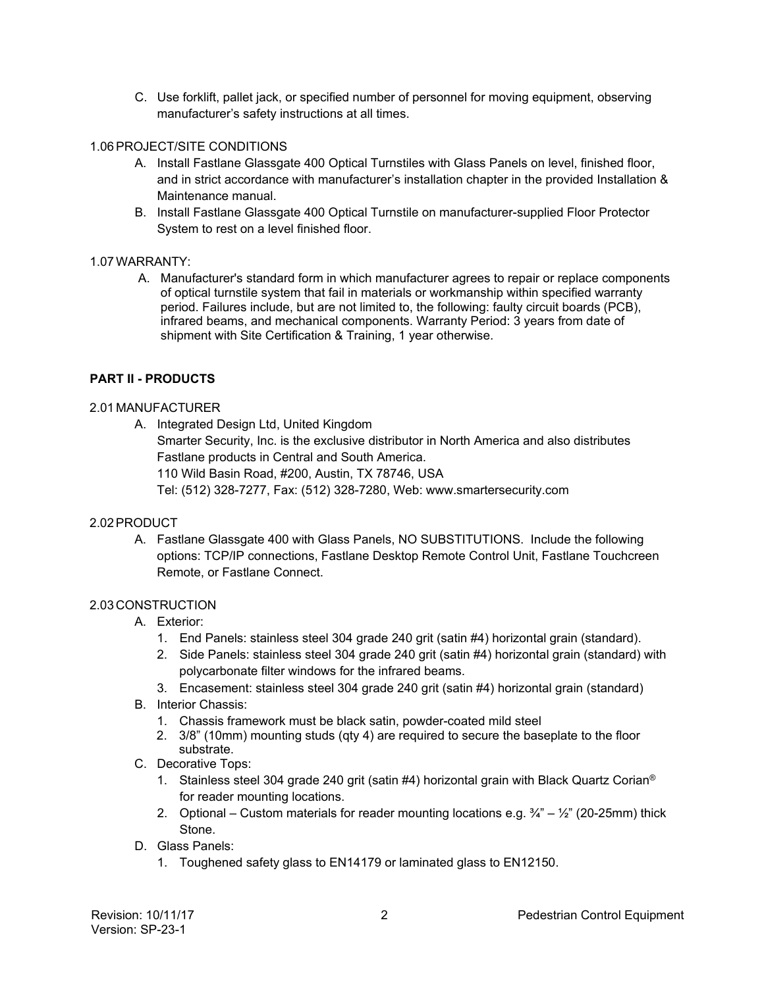C. Use forklift, pallet jack, or specified number of personnel for moving equipment, observing manufacturer's safety instructions at all times.

## 1.06PROJECT/SITE CONDITIONS

- A. Install Fastlane Glassgate 400 Optical Turnstiles with Glass Panels on level, finished floor, and in strict accordance with manufacturer's installation chapter in the provided Installation & Maintenance manual.
- B. Install Fastlane Glassgate 400 Optical Turnstile on manufacturer-supplied Floor Protector System to rest on a level finished floor.

## 1.07WARRANTY:

A. Manufacturer's standard form in which manufacturer agrees to repair or replace components of optical turnstile system that fail in materials or workmanship within specified warranty period. Failures include, but are not limited to, the following: faulty circuit boards (PCB), infrared beams, and mechanical components. Warranty Period: 3 years from date of shipment with Site Certification & Training, 1 year otherwise.

## **PART II - PRODUCTS**

#### 2.01 MANUFACTURER

A. Integrated Design Ltd, United Kingdom Smarter Security, Inc. is the exclusive distributor in North America and also distributes Fastlane products in Central and South America. 110 Wild Basin Road, #200, Austin, TX 78746, USA Tel: (512) 328-7277, Fax: (512) 328-7280, Web: www.smartersecurity.com

#### 2.02PRODUCT

A. Fastlane Glassgate 400 with Glass Panels, NO SUBSTITUTIONS. Include the following options: TCP/IP connections, Fastlane Desktop Remote Control Unit, Fastlane Touchcreen Remote, or Fastlane Connect.

#### 2.03 CONSTRUCTION

- A. Exterior:
	- 1. End Panels: stainless steel 304 grade 240 grit (satin #4) horizontal grain (standard).
	- 2. Side Panels: stainless steel 304 grade 240 grit (satin #4) horizontal grain (standard) with polycarbonate filter windows for the infrared beams.
	- 3. Encasement: stainless steel 304 grade 240 grit (satin #4) horizontal grain (standard)
- B. Interior Chassis:
	- 1. Chassis framework must be black satin, powder-coated mild steel
	- 2. 3/8" (10mm) mounting studs (qty 4) are required to secure the baseplate to the floor substrate.
- C. Decorative Tops:
	- 1. Stainless steel 304 grade 240 grit (satin #4) horizontal grain with Black Quartz Corian<sup>®</sup> for reader mounting locations.
	- 2. Optional Custom materials for reader mounting locations e.g.  $\frac{3}{4}$   $\frac{1}{2}$  (20-25mm) thick Stone.
- D. Glass Panels:
	- 1. Toughened safety glass to EN14179 or laminated glass to EN12150.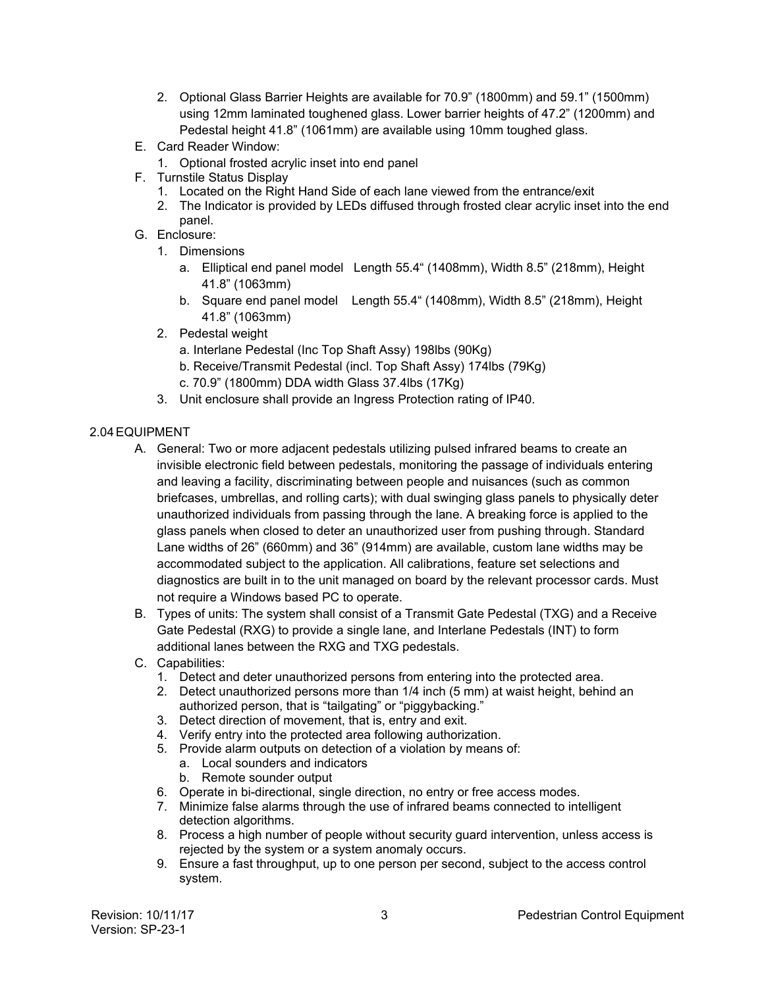- 2. Optional Glass Barrier Heights are available for 70.9" (1800mm) and 59.1" (1500mm) using 12mm laminated toughened glass. Lower barrier heights of 47.2" (1200mm) and Pedestal height 41.8" (1061mm) are available using 10mm toughed glass.
- E. Card Reader Window:
	- 1. Optional frosted acrylic inset into end panel
- F. Turnstile Status Display
	- 1. Located on the Right Hand Side of each lane viewed from the entrance/exit
	- 2. The Indicator is provided by LEDs diffused through frosted clear acrylic inset into the end panel.
- G. Enclosure:
	- 1. Dimensions
		- a. Elliptical end panel model Length 55.4" (1408mm), Width 8.5" (218mm), Height 41.8" (1063mm)
		- b. Square end panel model Length 55.4" (1408mm), Width 8.5" (218mm), Height 41.8" (1063mm)
	- 2. Pedestal weight
		- a. Interlane Pedestal (Inc Top Shaft Assy) 198lbs (90Kg)
		- b. Receive/Transmit Pedestal (incl. Top Shaft Assy) 174lbs (79Kg)
		- c. 70.9" (1800mm) DDA width Glass 37.4lbs (17Kg)
	- 3. Unit enclosure shall provide an Ingress Protection rating of IP40.

# 2.04EQUIPMENT

- A. General: Two or more adjacent pedestals utilizing pulsed infrared beams to create an invisible electronic field between pedestals, monitoring the passage of individuals entering and leaving a facility, discriminating between people and nuisances (such as common briefcases, umbrellas, and rolling carts); with dual swinging glass panels to physically deter unauthorized individuals from passing through the lane. A breaking force is applied to the glass panels when closed to deter an unauthorized user from pushing through. Standard Lane widths of 26" (660mm) and 36" (914mm) are available, custom lane widths may be accommodated subject to the application. All calibrations, feature set selections and diagnostics are built in to the unit managed on board by the relevant processor cards. Must not require a Windows based PC to operate.
- B. Types of units: The system shall consist of a Transmit Gate Pedestal (TXG) and a Receive Gate Pedestal (RXG) to provide a single lane, and Interlane Pedestals (INT) to form additional lanes between the RXG and TXG pedestals.
- C. Capabilities:
	- 1. Detect and deter unauthorized persons from entering into the protected area.
	- 2. Detect unauthorized persons more than 1/4 inch (5 mm) at waist height, behind an authorized person, that is "tailgating" or "piggybacking."
	- 3. Detect direction of movement, that is, entry and exit.
	- 4. Verify entry into the protected area following authorization.
	- 5. Provide alarm outputs on detection of a violation by means of:
		- a. Local sounders and indicators
		- b. Remote sounder output
	- 6. Operate in bi-directional, single direction, no entry or free access modes.
	- 7. Minimize false alarms through the use of infrared beams connected to intelligent detection algorithms.
	- 8. Process a high number of people without security guard intervention, unless access is rejected by the system or a system anomaly occurs.
	- 9. Ensure a fast throughput, up to one person per second, subject to the access control system.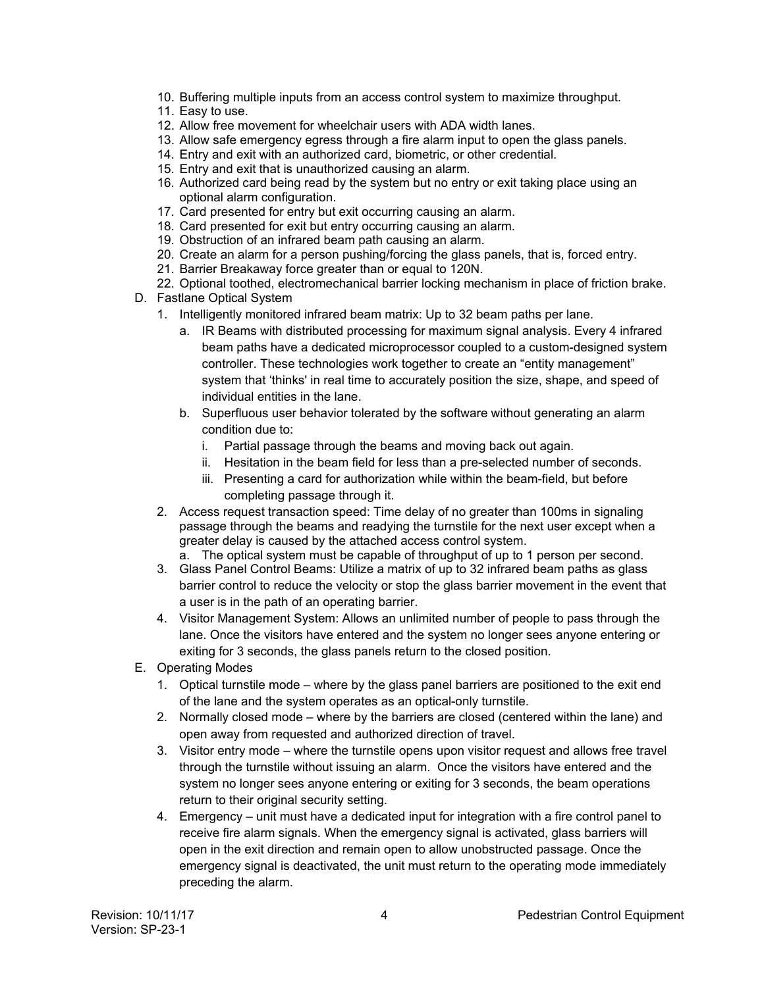- 10. Buffering multiple inputs from an access control system to maximize throughput.
- 11. Easy to use.
- 12. Allow free movement for wheelchair users with ADA width lanes.
- 13. Allow safe emergency egress through a fire alarm input to open the glass panels.
- 14. Entry and exit with an authorized card, biometric, or other credential.
- 15. Entry and exit that is unauthorized causing an alarm.
- 16. Authorized card being read by the system but no entry or exit taking place using an optional alarm configuration.
- 17. Card presented for entry but exit occurring causing an alarm.
- 18. Card presented for exit but entry occurring causing an alarm.
- 19. Obstruction of an infrared beam path causing an alarm.
- 20. Create an alarm for a person pushing/forcing the glass panels, that is, forced entry.
- 21. Barrier Breakaway force greater than or equal to 120N.
- 22. Optional toothed, electromechanical barrier locking mechanism in place of friction brake.
- D. Fastlane Optical System
	- 1. Intelligently monitored infrared beam matrix: Up to 32 beam paths per lane.
		- a. IR Beams with distributed processing for maximum signal analysis. Every 4 infrared beam paths have a dedicated microprocessor coupled to a custom-designed system controller. These technologies work together to create an "entity management" system that 'thinks' in real time to accurately position the size, shape, and speed of individual entities in the lane.
		- b. Superfluous user behavior tolerated by the software without generating an alarm condition due to:
			- i. Partial passage through the beams and moving back out again.
			- ii. Hesitation in the beam field for less than a pre-selected number of seconds.
			- iii. Presenting a card for authorization while within the beam-field, but before completing passage through it.
	- 2. Access request transaction speed: Time delay of no greater than 100ms in signaling passage through the beams and readying the turnstile for the next user except when a greater delay is caused by the attached access control system.
		- a. The optical system must be capable of throughput of up to 1 person per second.
	- 3. Glass Panel Control Beams: Utilize a matrix of up to 32 infrared beam paths as glass barrier control to reduce the velocity or stop the glass barrier movement in the event that a user is in the path of an operating barrier.
	- 4. Visitor Management System: Allows an unlimited number of people to pass through the lane. Once the visitors have entered and the system no longer sees anyone entering or exiting for 3 seconds, the glass panels return to the closed position.
- E. Operating Modes
	- 1. Optical turnstile mode where by the glass panel barriers are positioned to the exit end of the lane and the system operates as an optical-only turnstile.
	- 2. Normally closed mode where by the barriers are closed (centered within the lane) and open away from requested and authorized direction of travel.
	- 3. Visitor entry mode where the turnstile opens upon visitor request and allows free travel through the turnstile without issuing an alarm. Once the visitors have entered and the system no longer sees anyone entering or exiting for 3 seconds, the beam operations return to their original security setting.
	- 4. Emergency unit must have a dedicated input for integration with a fire control panel to receive fire alarm signals. When the emergency signal is activated, glass barriers will open in the exit direction and remain open to allow unobstructed passage. Once the emergency signal is deactivated, the unit must return to the operating mode immediately preceding the alarm.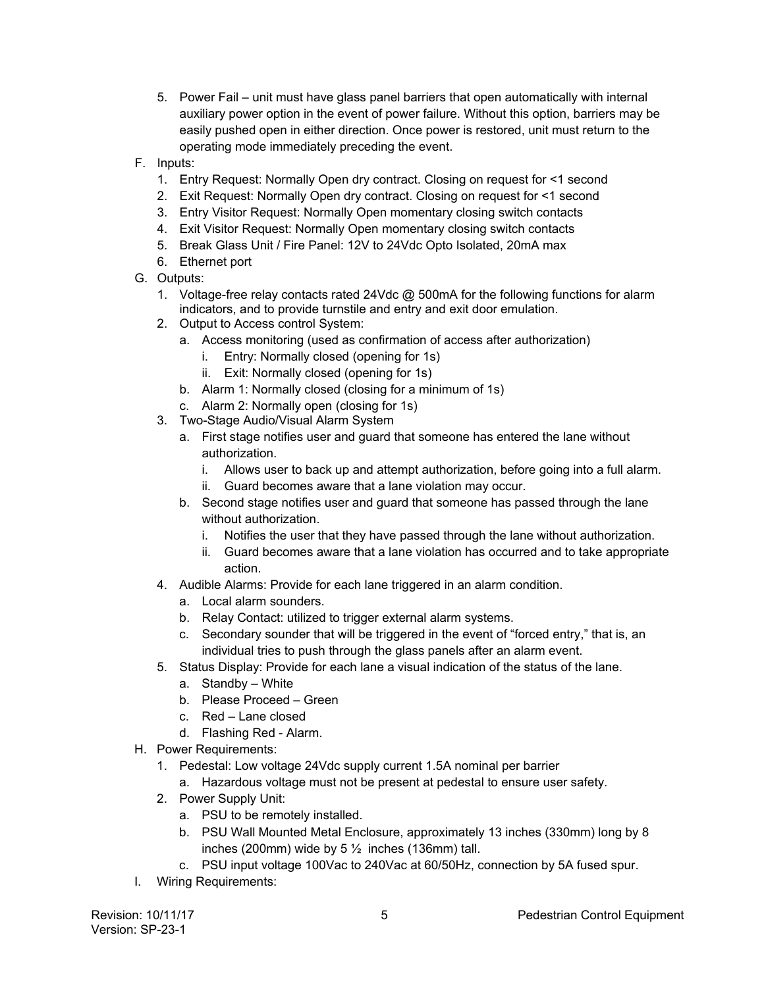- 5. Power Fail unit must have glass panel barriers that open automatically with internal auxiliary power option in the event of power failure. Without this option, barriers may be easily pushed open in either direction. Once power is restored, unit must return to the operating mode immediately preceding the event.
- F. Inputs:
	- 1. Entry Request: Normally Open dry contract. Closing on request for <1 second
	- 2. Exit Request: Normally Open dry contract. Closing on request for <1 second
	- 3. Entry Visitor Request: Normally Open momentary closing switch contacts
	- 4. Exit Visitor Request: Normally Open momentary closing switch contacts
	- 5. Break Glass Unit / Fire Panel: 12V to 24Vdc Opto Isolated, 20mA max
	- 6. Ethernet port
- G. Outputs:
	- 1. Voltage-free relay contacts rated 24Vdc @ 500mA for the following functions for alarm indicators, and to provide turnstile and entry and exit door emulation.
	- 2. Output to Access control System:
		- a. Access monitoring (used as confirmation of access after authorization)
			- i. Entry: Normally closed (opening for 1s)
			- ii. Exit: Normally closed (opening for 1s)
		- b. Alarm 1: Normally closed (closing for a minimum of 1s)
		- c. Alarm 2: Normally open (closing for 1s)
	- 3. Two-Stage Audio/Visual Alarm System
		- a. First stage notifies user and guard that someone has entered the lane without authorization.
			- i. Allows user to back up and attempt authorization, before going into a full alarm.
			- ii. Guard becomes aware that a lane violation may occur.
		- b. Second stage notifies user and guard that someone has passed through the lane without authorization.
			- i. Notifies the user that they have passed through the lane without authorization.
			- ii. Guard becomes aware that a lane violation has occurred and to take appropriate action.
	- 4. Audible Alarms: Provide for each lane triggered in an alarm condition.
		- a. Local alarm sounders.
		- b. Relay Contact: utilized to trigger external alarm systems.
		- c. Secondary sounder that will be triggered in the event of "forced entry," that is, an individual tries to push through the glass panels after an alarm event.
	- 5. Status Display: Provide for each lane a visual indication of the status of the lane.
		- a. Standby White
		- b. Please Proceed Green
		- c. Red Lane closed
		- d. Flashing Red Alarm.
- H. Power Requirements:
	- 1. Pedestal: Low voltage 24Vdc supply current 1.5A nominal per barrier
		- a. Hazardous voltage must not be present at pedestal to ensure user safety.
	- 2. Power Supply Unit:
		- a. PSU to be remotely installed.
		- b. PSU Wall Mounted Metal Enclosure, approximately 13 inches (330mm) long by 8 inches (200mm) wide by  $5\frac{1}{2}$  inches (136mm) tall.
		- c. PSU input voltage 100Vac to 240Vac at 60/50Hz, connection by 5A fused spur.
- I. Wiring Requirements: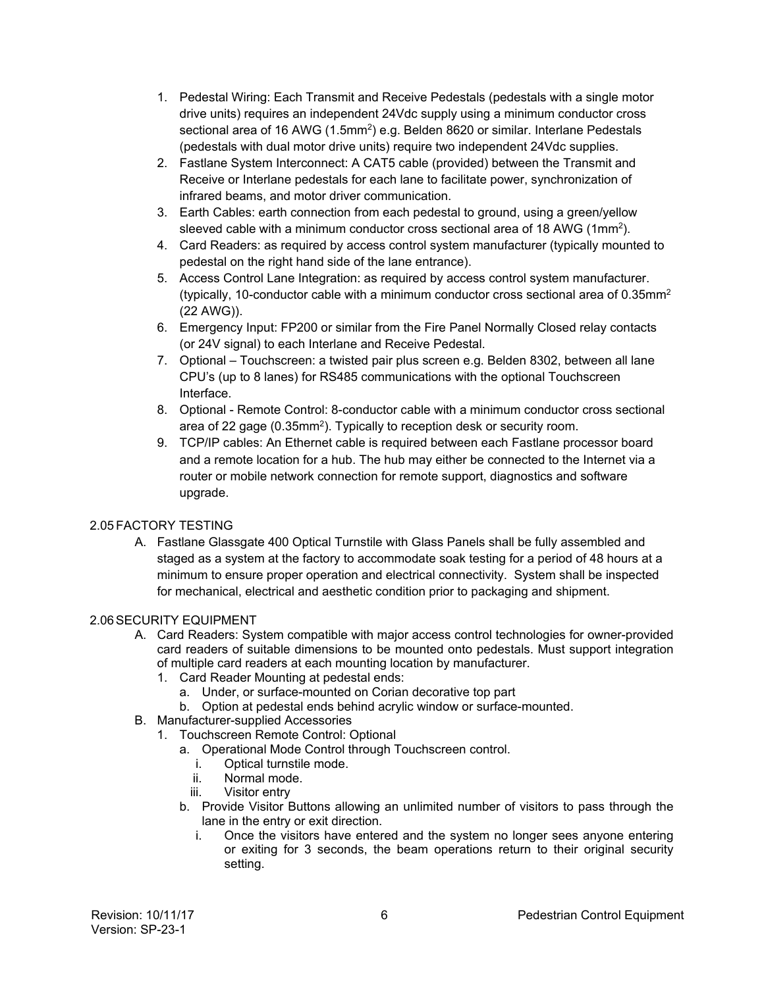- 1. Pedestal Wiring: Each Transmit and Receive Pedestals (pedestals with a single motor drive units) requires an independent 24Vdc supply using a minimum conductor cross sectional area of 16 AWG (1.5mm<sup>2</sup>) e.g. Belden 8620 or similar. Interlane Pedestals (pedestals with dual motor drive units) require two independent 24Vdc supplies.
- 2. Fastlane System Interconnect: A CAT5 cable (provided) between the Transmit and Receive or Interlane pedestals for each lane to facilitate power, synchronization of infrared beams, and motor driver communication.
- 3. Earth Cables: earth connection from each pedestal to ground, using a green/yellow sleeved cable with a minimum conductor cross sectional area of 18 AWG (1mm2).
- 4. Card Readers: as required by access control system manufacturer (typically mounted to pedestal on the right hand side of the lane entrance).
- 5. Access Control Lane Integration: as required by access control system manufacturer. (typically, 10-conductor cable with a minimum conductor cross sectional area of  $0.35$ mm<sup>2</sup> (22 AWG)).
- 6. Emergency Input: FP200 or similar from the Fire Panel Normally Closed relay contacts (or 24V signal) to each Interlane and Receive Pedestal.
- 7. Optional Touchscreen: a twisted pair plus screen e.g. Belden 8302, between all lane CPU's (up to 8 lanes) for RS485 communications with the optional Touchscreen Interface.
- 8. Optional Remote Control: 8-conductor cable with a minimum conductor cross sectional area of 22 gage (0.35mm2). Typically to reception desk or security room.
- 9. TCP/IP cables: An Ethernet cable is required between each Fastlane processor board and a remote location for a hub. The hub may either be connected to the Internet via a router or mobile network connection for remote support, diagnostics and software upgrade.

## 2.05FACTORY TESTING

A. Fastlane Glassgate 400 Optical Turnstile with Glass Panels shall be fully assembled and staged as a system at the factory to accommodate soak testing for a period of 48 hours at a minimum to ensure proper operation and electrical connectivity. System shall be inspected for mechanical, electrical and aesthetic condition prior to packaging and shipment.

#### 2.06SECURITY EQUIPMENT

- A. Card Readers: System compatible with major access control technologies for owner-provided card readers of suitable dimensions to be mounted onto pedestals. Must support integration of multiple card readers at each mounting location by manufacturer.
	- 1. Card Reader Mounting at pedestal ends:
		- a. Under, or surface-mounted on Corian decorative top part
		- b. Option at pedestal ends behind acrylic window or surface-mounted.
- B. Manufacturer-supplied Accessories
	- 1. Touchscreen Remote Control: Optional
		- a. Operational Mode Control through Touchscreen control.
			- i. Optical turnstile mode.<br>ii. Normal mode.
			- Normal mode.
			- iii. Visitor entry
		- b. Provide Visitor Buttons allowing an unlimited number of visitors to pass through the lane in the entry or exit direction.
			- i. Once the visitors have entered and the system no longer sees anyone entering or exiting for 3 seconds, the beam operations return to their original security setting.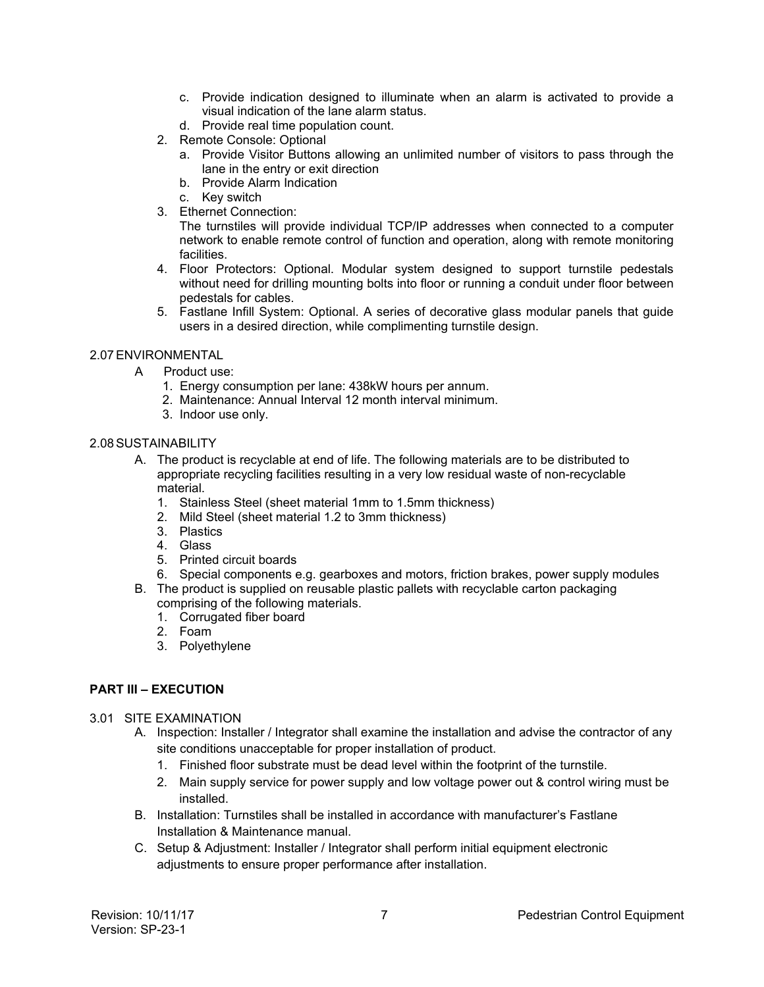- c. Provide indication designed to illuminate when an alarm is activated to provide a visual indication of the lane alarm status.
- d. Provide real time population count.
- 2. Remote Console: Optional
	- a. Provide Visitor Buttons allowing an unlimited number of visitors to pass through the lane in the entry or exit direction
	- b. Provide Alarm Indication
	- c. Key switch
- 3. Ethernet Connection:

The turnstiles will provide individual TCP/IP addresses when connected to a computer network to enable remote control of function and operation, along with remote monitoring facilities.

- 4. Floor Protectors: Optional. Modular system designed to support turnstile pedestals without need for drilling mounting bolts into floor or running a conduit under floor between pedestals for cables.
- 5. Fastlane Infill System: Optional. A series of decorative glass modular panels that guide users in a desired direction, while complimenting turnstile design.

#### 2.07ENVIRONMENTAL

- A Product use:
	- 1. Energy consumption per lane: 438kW hours per annum.
	- 2. Maintenance: Annual Interval 12 month interval minimum.
	- 3. Indoor use only.

#### 2.08SUSTAINABILITY

- A. The product is recyclable at end of life. The following materials are to be distributed to appropriate recycling facilities resulting in a very low residual waste of non-recyclable material.
	- 1. Stainless Steel (sheet material 1mm to 1.5mm thickness)
	- 2. Mild Steel (sheet material 1.2 to 3mm thickness)
	- 3. Plastics
	- 4. Glass
	- 5. Printed circuit boards
	- 6. Special components e.g. gearboxes and motors, friction brakes, power supply modules
- B. The product is supplied on reusable plastic pallets with recyclable carton packaging comprising of the following materials.
	- 1. Corrugated fiber board
	- 2. Foam
	- 3. Polyethylene

## **PART III – EXECUTION**

#### 3.01 SITE EXAMINATION

- A. Inspection: Installer / Integrator shall examine the installation and advise the contractor of any site conditions unacceptable for proper installation of product.
	- 1. Finished floor substrate must be dead level within the footprint of the turnstile.
	- 2. Main supply service for power supply and low voltage power out & control wiring must be installed.
- B. Installation: Turnstiles shall be installed in accordance with manufacturer's Fastlane Installation & Maintenance manual.
- C. Setup & Adjustment: Installer / Integrator shall perform initial equipment electronic adjustments to ensure proper performance after installation.